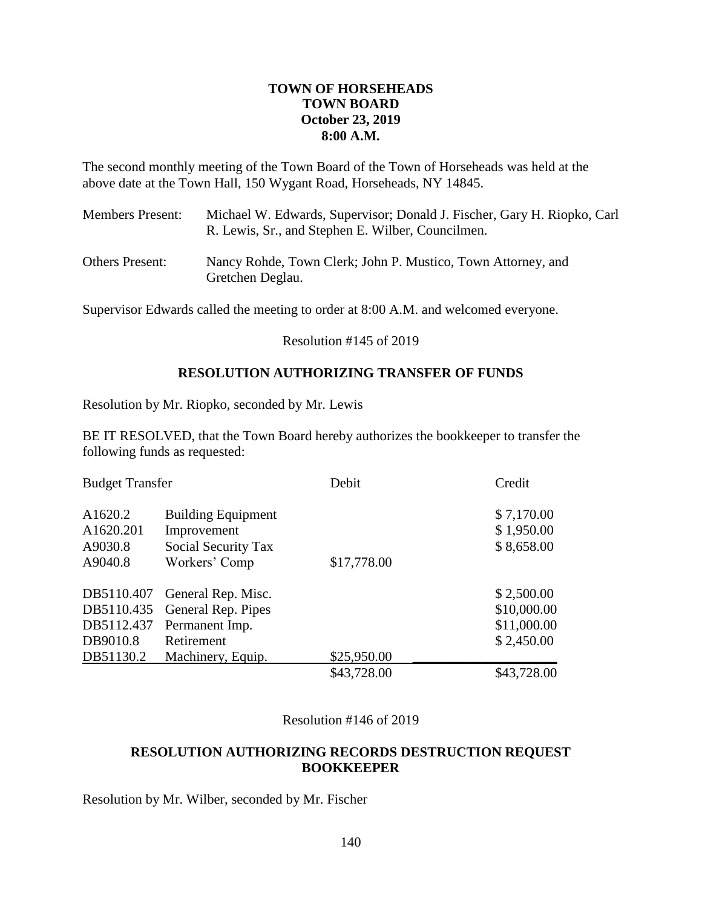## **TOWN OF HORSEHEADS TOWN BOARD October 23, 2019 8:00 A.M.**

The second monthly meeting of the Town Board of the Town of Horseheads was held at the above date at the Town Hall, 150 Wygant Road, Horseheads, NY 14845.

| <b>Members Present:</b> | Michael W. Edwards, Supervisor; Donald J. Fischer, Gary H. Riopko, Carl<br>R. Lewis, Sr., and Stephen E. Wilber, Councilmen. |
|-------------------------|------------------------------------------------------------------------------------------------------------------------------|
| <b>Others Present:</b>  | Nancy Rohde, Town Clerk; John P. Mustico, Town Attorney, and<br>Gretchen Deglau.                                             |

Supervisor Edwards called the meeting to order at 8:00 A.M. and welcomed everyone.

Resolution #145 of 2019

## **RESOLUTION AUTHORIZING TRANSFER OF FUNDS**

Resolution by Mr. Riopko, seconded by Mr. Lewis

BE IT RESOLVED, that the Town Board hereby authorizes the bookkeeper to transfer the following funds as requested:

| <b>Budget Transfer</b>                                          |                                                                                               | Debit       | Credit                                                 |
|-----------------------------------------------------------------|-----------------------------------------------------------------------------------------------|-------------|--------------------------------------------------------|
| A1620.2<br>A1620.201<br>A9030.8<br>A9040.8                      | <b>Building Equipment</b><br>Improvement<br>Social Security Tax<br>Workers' Comp              | \$17,778.00 | \$7,170.00<br>\$1,950.00<br>\$8,658.00                 |
| DB5110.407<br>DB5110.435<br>DB5112.437<br>DB9010.8<br>DB51130.2 | General Rep. Misc.<br>General Rep. Pipes<br>Permanent Imp.<br>Retirement<br>Machinery, Equip. | \$25,950.00 | \$2,500.00<br>\$10,000.00<br>\$11,000.00<br>\$2,450.00 |
|                                                                 |                                                                                               | \$43,728.00 | \$43,728.00                                            |

Resolution #146 of 2019

## **RESOLUTION AUTHORIZING RECORDS DESTRUCTION REQUEST BOOKKEEPER**

Resolution by Mr. Wilber, seconded by Mr. Fischer